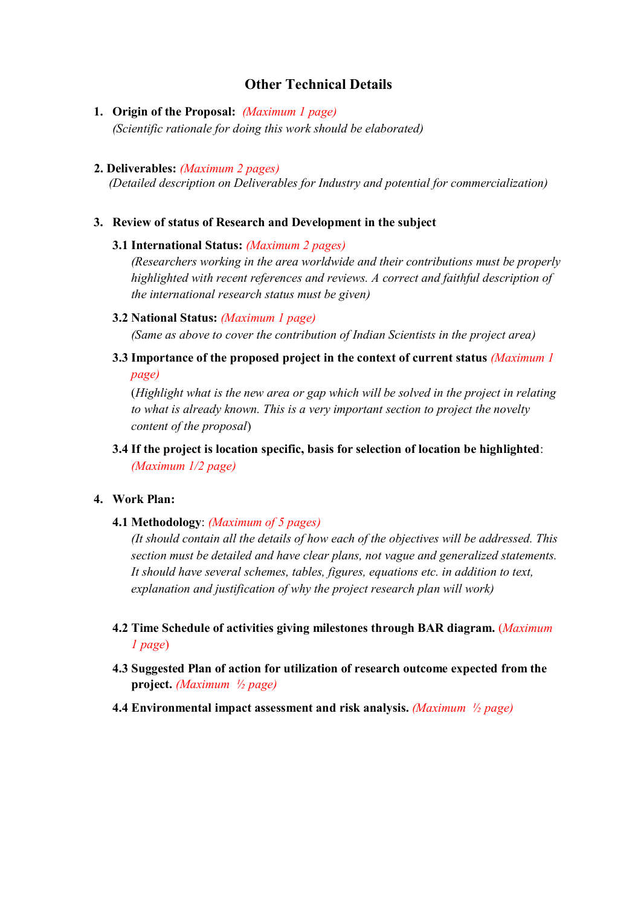# Other Technical Details

1. Origin of the Proposal: (Maximum 1 page) (Scientific rationale for doing this work should be elaborated)

#### 2. Deliverables: (Maximum 2 pages)

(Detailed description on Deliverables for Industry and potential for commercialization)

#### 3. Review of status of Research and Development in the subject

#### 3.1 International Status: (Maximum 2 pages)

(Researchers working in the area worldwide and their contributions must be properly highlighted with recent references and reviews. A correct and faithful description of the international research status must be given)

### 3.2 National Status: (Maximum 1 page)

(Same as above to cover the contribution of Indian Scientists in the project area)

3.3 Importance of the proposed project in the context of current status *(Maximum 1*) page)

(Highlight what is the new area or gap which will be solved in the project in relating to what is already known. This is a very important section to project the novelty content of the proposal)

3.4 If the project is location specific, basis for selection of location be highlighted: (Maximum 1/2 page)

#### 4. Work Plan:

4.1 Methodology: (Maximum of 5 pages)

(It should contain all the details of how each of the objectives will be addressed. This section must be detailed and have clear plans, not vague and generalized statements. It should have several schemes, tables, figures, equations etc. in addition to text, explanation and justification of why the project research plan will work)

- 4.2 Time Schedule of activities giving milestones through BAR diagram. (Maximum 1 page)
- 4.3 Suggested Plan of action for utilization of research outcome expected from the project. (Maximum  $\frac{1}{2}$  page)
- 4.4 Environmental impact assessment and risk analysis. *(Maximum*  $\frac{1}{2}$  *page)*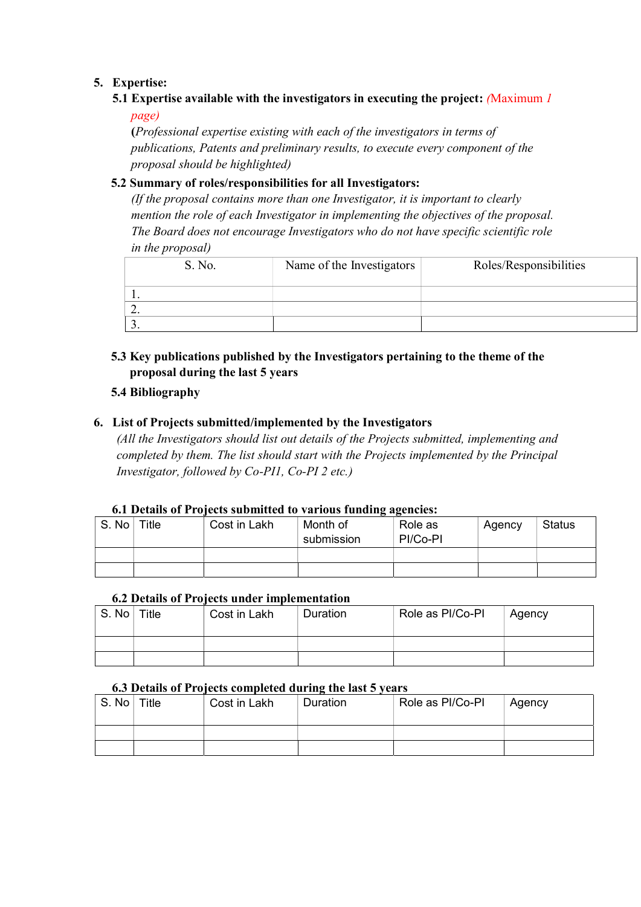### 5. Expertise:

5.1 Expertise available with the investigators in executing the project: (Maximum 1 page)

(Professional expertise existing with each of the investigators in terms of publications, Patents and preliminary results, to execute every component of the proposal should be highlighted)

### 5.2 Summary of roles/responsibilities for all Investigators:

(If the proposal contains more than one Investigator, it is important to clearly mention the role of each Investigator in implementing the objectives of the proposal. The Board does not encourage Investigators who do not have specific scientific role in the proposal)

|          | S. No. | Name of the Investigators | Roles/Responsibilities |
|----------|--------|---------------------------|------------------------|
| . .      |        |                           |                        |
| <u>.</u> |        |                           |                        |
|          |        |                           |                        |

## 5.3 Key publications published by the Investigators pertaining to the theme of the proposal during the last 5 years

### 5.4 Bibliography

### 6. List of Projects submitted/implemented by the Investigators

(All the Investigators should list out details of the Projects submitted, implementing and completed by them. The list should start with the Projects implemented by the Principal Investigator, followed by Co-PI1, Co-PI 2 etc.)

### 6.1 Details of Projects submitted to variousfunding agencies:

| S. No | Title | Cost in Lakh | . .<br>Month of<br>submission | Role as<br>PI/Co-PI | Agency | <b>Status</b> |
|-------|-------|--------------|-------------------------------|---------------------|--------|---------------|
|       |       |              |                               |                     |        |               |
|       |       |              |                               |                     |        |               |

#### 6.2 Details of Projects under implementation

| S. No | Title | Cost in Lakh | Duration | Role as PI/Co-PI | Agency |
|-------|-------|--------------|----------|------------------|--------|
|       |       |              |          |                  |        |
|       |       |              |          |                  |        |

### 6.3 Details of Projects completed during the last 5 years

| $_{\perp}$ S. No $^{\perp}$ | Title | Cost in Lakh | <b>Duration</b> | Role as PI/Co-PI | Agency |
|-----------------------------|-------|--------------|-----------------|------------------|--------|
|                             |       |              |                 |                  |        |
|                             |       |              |                 |                  |        |